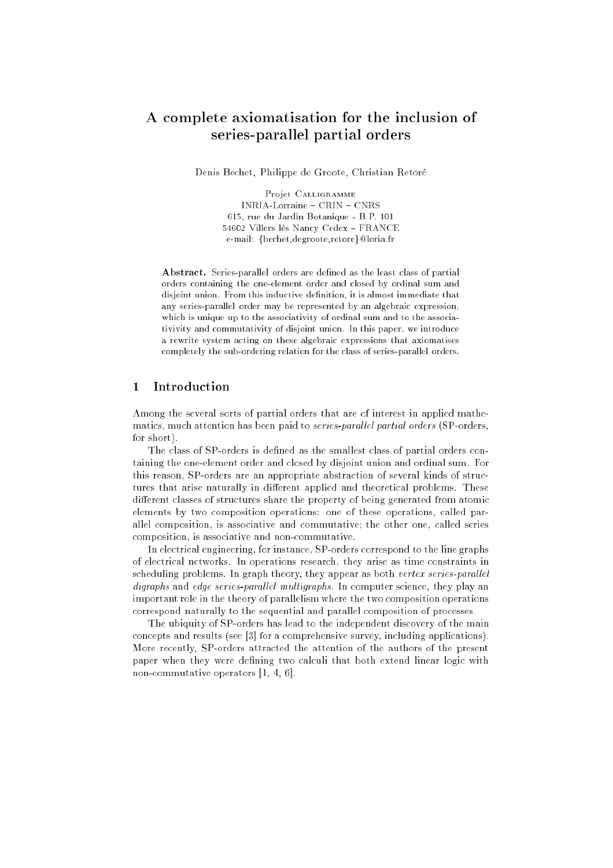# A complete axiomatisation for the inclusion of series-parallel partial orders

Denis Bechet, Philippe de Groote, Christian Retoré

Projet CALLIGRAMME INRIA-Lorraine - CRIN - CNRS 615, rue du Jardin Botanique - B.P. 101 54602 Villers lès Nancy Cedex FRANCE e-mail: {bechet,degroote,retore}@loria.fr

Abstract. Series-parallel orders are defined as the least class of partial orders containing the one-element order and closed by ordinal sum and disjoint union. From this inductive definition, it is almost immediate that any series-parallel order may be represented by an algebraic expression, which is unique up to the associativity of ordinal sum and to the associativivity and commutativity of disjoint union. In this paper, we introduce a rewrite system acting on these algebraic expressions that axiomatises completely the sub-ordering relation for the class of series-parallel orders.

### $\mathbf{1}$ **Introduction**

Among the several sorts of partial orders that are of interest in applied mathematics, much attention has been paid to *series-parallel partial orders* (SP-orders, for short).

The class of SP-orders is defined as the smallest class of partial orders containing the one-element order and closed by disjoint union and ordinal sum. For this reason, SP-orders are an appropriate abstraction of several kinds of structures that arise naturally in different applied and theoretical problems. These different classes of structures share the property of being generated from atomic elements by two composition operations: one of these operations, called parallel composition, is associative and commutative; the other one, called series composition, is associative and non-commutative.

In electrical engineering, for instance, SP-orders correspond to the line graphs of electrical networks. In operations research, they arise as time constraints in scheduling problems. In graph theory, they appear as both vertex series-parallel digraphs and edge series-parallel multigraphs. In computer science, they play an important role in the theory of parallelism where the two composition operations correspond naturally to the sequential and parallel composition of processes.

The ubiquity of SP-orders has lead to the independent discovery of the main concepts and results (see [3] for a comprehensive survey, including applications). More recently, SP-orders attracted the attention of the authors of the present paper when they were defining two calculi that both extend linear logic with non-commutative operators [1, 4, 6].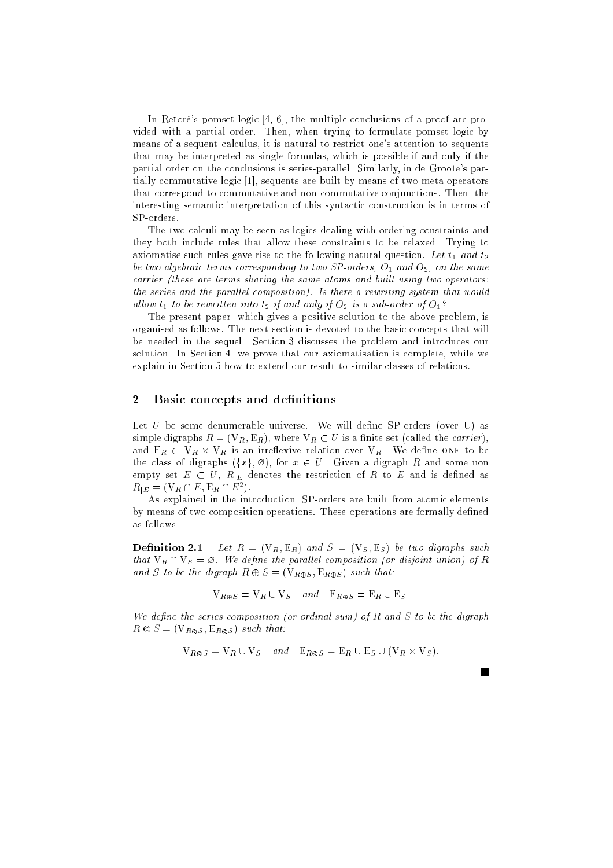In Retoré's pomset logic [4, 6], the multiple conclusions of a proof are provided with a partial order. Then, when trying to formulate pomset logic by means of a sequent calculus, it is natural to restrict one's attention to sequents that may be interpreted as single formulas, which is possible if and only if the partial order on the conclusions is series-parallel. Similarly, in de Groote's partially commutative logic [1], sequents are built by means of two meta-operators that correspond to commutative and non-commutative conjunctions. Then, the interesting semantic interpretation of this syntactic construction is in terms of SP-orders.

The two calculi may be seen as logics dealing with ordering constraints and they both include rules that allow these constraints to be relaxed. Trying to axiomatise such rules gave rise to the following natural question. Let  $t_1$  and  $t_2$ be two algebraic terms corresponding to two SP-orders,  $O_1$  and  $O_2$ , on the same carrier (these are terms sharing the same atoms and built using two operators: the series and the parallel composition). Is there a rewriting system that would allow  $t_1$  to be rewritten into  $t_2$  if and only if  $O_2$  is a sub-order of  $O_1$ ?

The present paper, which gives a positive solution to the above problem, is organised as follows. The next section is devoted to the basic concepts that will be needed in the sequel. Section 3 discusses the problem and introduces our solution. In Section 4, we prove that our axiomatisation is complete, while we explain in Section 5 how to extend our result to similar classes of relations.

# 2 Basic concepts and definitions

Let  $U$  be some denumerable universe. We will define SP-orders (over U) as simple digraphs  $R = (V_R, E_R)$ , where  $V_R \subset U$  is a finite set (called the *carrier*), and ER VR - VR is an irreexive relation over VR. We dene one to be the class of digraphs  $({x}, \emptyset)$ , for  $x \in U$ . Given a digraph R and some non empty set  $E \subset U$ ,  $R_{|E}$  denotes the restriction of R to E and is defined as  $R_{|E} = (\mathbf{V}_R \cap E, \mathbf{E}_R \cap E^2).$ 

As explained in the introduction, SP-orders are built from atomic elements by means of two composition operations. These operations are formally defined as follows.

**Definition 2.1** Let  $R = (V_R, E_R)$  and  $S = (V_S, E_S)$  be two digraphs such that  $V_R \cap V_S = \emptyset$ . We define the parallel composition (or disjoint union) of R and S to be the digraph  $R \oplus S = (\mathbf{V}_{R \oplus S}, \mathbf{E}_{R \oplus S})$  such that:

$$
V_{R\oplus S} = V_R \cup V_S \quad and \quad E_{R\oplus S} = E_R \cup E_S.
$$

We define the series composition (or ordinal sum) of  $R$  and  $S$  to be the digraph  $R \otimes S = (\mathbf{V}_{R \otimes S}, \mathbf{E}_{R \otimes S})$  such that:

$$
V_{R\otimes S} = V_R \cup V_S \quad and \quad E_{R\otimes S} = E_R \cup E_S \cup (V_R \times V_S).
$$

m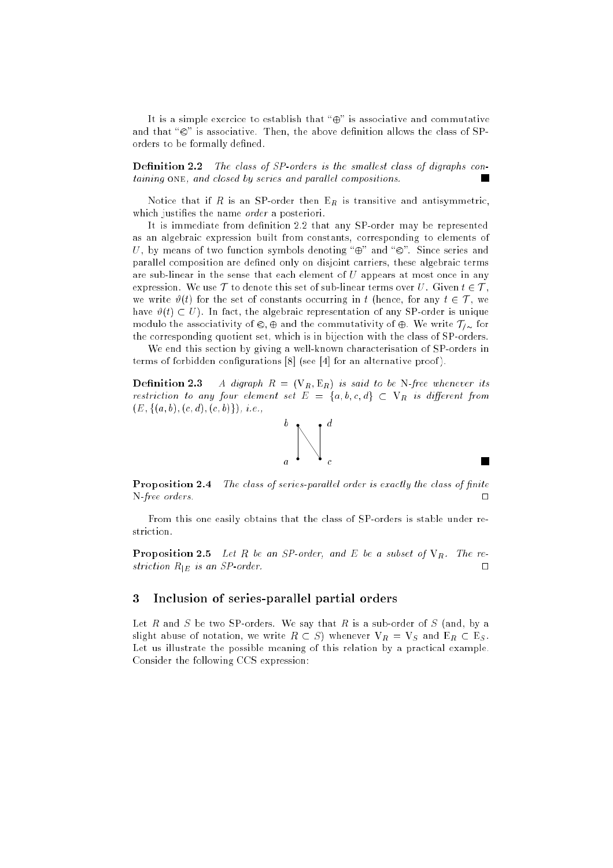It is a simple exercice to establish that " $\oplus$ " is associative and commutative and that " $\otimes$ " is associative. Then, the above definition allows the class of SPorders to be formally defined.

**Definition 2.2** The class of  $SP$ -orders is the smallest class of digraphs containing ONE, and closed by series and parallel compositions.

Notice that if R is an SP-order then  $E_R$  is transitive and antisymmetric, which justifies the name *order* a posteriori.

It is immediate from definition 2.2 that any SP-order may be represented as an algebraic expression built from constants, corresponding to elements of U, by means of two function symbols denoting " $\oplus$ " and " $\otimes$ ". Since series and parallel composition are defined only on disjoint carriers, these algebraic terms are sub-linear in the sense that each element of  $U$  appears at most once in any expression. We use  $\mathcal T$  to denote this set of sub-linear terms over U. Given  $t \in \mathcal T$ , we write  $\vartheta(t)$  for the set of constants occurring in t (hence, for any  $t \in \mathcal{T}$ , we have  $\vartheta(t) \subset U$ ). In fact, the algebraic representation of any SP-order is unique modulo the associativity of  $\otimes$ ,  $\oplus$  and the commutativity of  $\oplus$ . We write  $\mathcal{T}_{\infty}$  for the corresponding quotient set, which is in bijection with the class of SP-orders.

We end this section by giving a well-known characterisation of SP-orders in terms of forbidden configurations  $[8]$  (see [4] for an alternative proof).

**Definition 2.3** A digraph  $R = (V_R, E_R)$  is said to be N-free whenever its restriction to any four element set  $E = \{a, b, c, d\} \subset V_R$  is different from  $(E, \{(a, b), (c, d), (c, b)\})$ , *i.e.*,



**Proposition 2.4** The class of series-parallel order is exactly the class of finite N-free orders.

**The Second** 

From this one easily obtains that the class of SP-orders is stable under restriction.

**Proposition 2.5** Let R be an SP-order, and E be a subset of  $V_R$ . The restriction  $R_{|E}$  is an SP-order.

# 3 Inclusion of series-parallel partial orders

Let R and S be two SP-orders. We say that R is a sub-order of S (and, by a slight abuse of notation, we write  $R \subset S$ ) whenever  $V_R = V_S$  and  $E_R \subset E_S$ . Let us illustrate the possible meaning of this relation by a practical example. Consider the following CCS expression: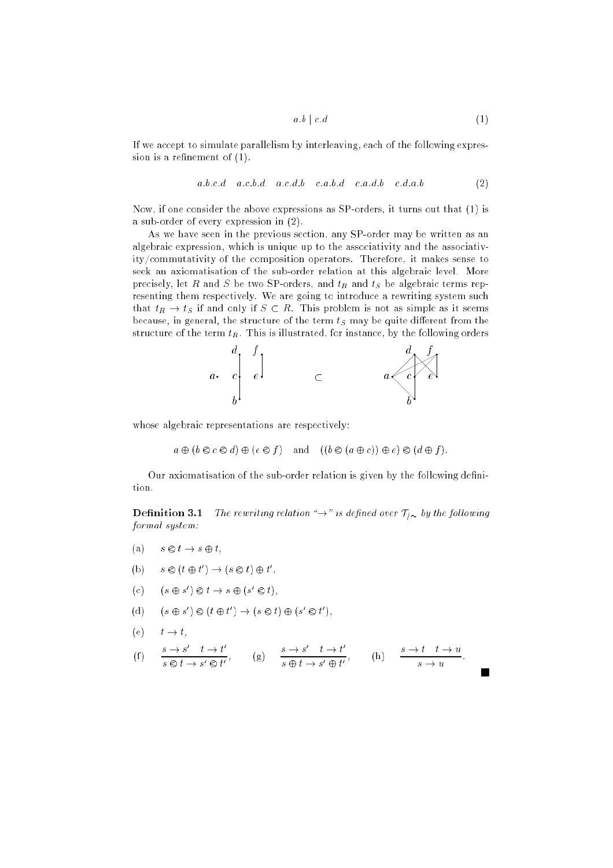$$
a.b \mid c.d \tag{1}
$$

If we accept to simulate parallelism by interleaving, each of the following expression is a refinement of  $(1)$ .

$$
a.b.c.d \quad a.c.b.d \quad a.c.d.b \quad c.a.b.d \quad c.a.d.b \quad c.d.a.b \tag{2}
$$

Now, if one consider the above expressions as SP-orders, it turns out that (1) is a sub-order of every expression in (2).

As we have seen in the previous section, any SP-order may be written as an algebraic expression, which is unique up to the associativity and the associativity/commutativity of the composition operators. Therefore, it makes sense to seek an axiomatisation of the sub-order relation at this algebraic level. More precisely, let R and S be two SP-orders, and  $t_R$  and  $t_S$  be algebraic terms representing them respectively. We are going to introduce a rewriting system such that  $t_R \to t_S$  if and only if  $S \subset R$ . This problem is not as simple as it seems because, in general, the structure of the term  $t<sub>S</sub>$  may be quite different from the structure of the term  $t_R$ . This is illustrated, for instance, by the following orders



whose algebraic representations are respectively:

 $a \oplus (b \otimes c \otimes d) \oplus (e \otimes f)$  and  $((b \otimes (a \oplus c)) \oplus e) \otimes (d \oplus f).$ 

Our axiomatisation of the sub-order relation is given by the following definition.

**Definition 3.1** The rewriting relation " $\rightarrow$ " is defined over  $\mathcal{T}_{\ell}$  by the following formal system:

- (a)  $s \otimes t \to s \oplus t$ ,
- (b)  $s \otimes (t \oplus t') \rightarrow (s \otimes t) \oplus t'$ ,
- (c)  $(s \oplus s') \otimes t \rightarrow s \oplus (s' \otimes t),$
- (d)  $(s \oplus s') \otimes (t \oplus t') \rightarrow (s \otimes t) \oplus (s' \otimes t')$ ,
- (e)  $t \to t$ ,

$$
\text{(f)} \qquad \frac{s \to s' \quad t \to t'}{s \otimes t \to s' \otimes t'}, \qquad \text{(g)} \qquad \frac{s \to s' \quad t \to t'}{s \oplus t \to s' \oplus t'}, \qquad \text{(h)} \qquad \frac{s \to t \quad t \to u}{s \to u}.
$$

 $\blacksquare$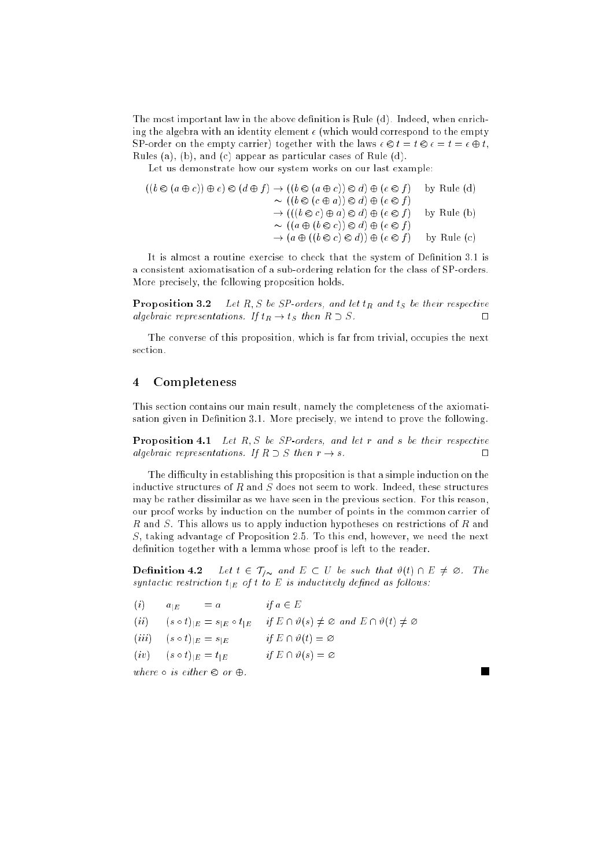The most important law in the above definition is Rule (d). Indeed, when enriching the algebra with an identity element  $\epsilon$  (which would correspond to the empty SP-order on the empty carrier) together with the laws  $\epsilon \otimes t = t \otimes \epsilon = t = \epsilon \oplus t$ , Rules (a), (b), and (c) appear as particular cases of Rule (d).

Let us demonstrate how our system works on our last example:

$$
((b \otimes (a \oplus c)) \oplus e) \otimes (d \oplus f) \rightarrow ((b \otimes (a \oplus c)) \otimes d) \oplus (e \otimes f) \qquad \text{by Rule (d)}
$$
  
\n
$$
\sim ((b \otimes (c \oplus a)) \otimes d) \oplus (e \otimes f)
$$
  
\n
$$
\rightarrow (((b \otimes c) \oplus a) \otimes d) \oplus (e \otimes f) \qquad \text{by Rule (b)}
$$
  
\n
$$
\sim ((a \oplus (b \otimes c)) \otimes d) \oplus (e \otimes f) \qquad \text{by Rule (c)}
$$
  
\n
$$
\rightarrow (a \oplus ((b \otimes c) \otimes d)) \oplus (e \otimes f) \qquad \text{by Rule (c)}
$$

It is almost a routine exercise to check that the system of Definition 3.1 is a consistent axiomatisation of a sub-ordering relation for the class of SP-orders. More precisely, the following proposition holds.

**Proposition 3.2** Let R, S be SP-orders, and let  $t_R$  and  $t_S$  be their respective algebraic representations. If  $t_R \rightarrow t_S$  then  $R \supset S$ .

The converse of this proposition, which is far from trivial, occupies the next section.

#### $\overline{\mathbf{4}}$ **Completeness**

This section contains our main result, namely the completeness of the axiomatisation given in Definition 3.1. More precisely, we intend to prove the following.

**Proposition 4.1** Let  $R, S$  be SP-orders, and let  $r$  and  $s$  be their respective algebraic representations. If  $R \supset S$  then  $r \to s$ .

The difficulty in establishing this proposition is that a simple induction on the inductive structures of  $R$  and  $S$  does not seem to work. Indeed, these structures may be rather dissimilar as we have seen in the previous section. For this reason, our proof works by induction on the number of points in the common carrier of R and S. This allows us to apply induction hypotheses on restrictions of R and S, taking advantage of Proposition 2.5. To this end, however, we need the next definition together with a lemma whose proof is left to the reader.

**Definition 4.2** Let  $t \in \mathcal{T}_{/\infty}$  and  $E \subset U$  be such that  $\vartheta(t) \cap E \neq \emptyset$ . The syntactic restriction  $t_{|E}$  of t to E is inductively defined as follows:

 $\blacksquare$ 

| (i)  | $a_{1E}$                            | $= a$                                           | if $a \in E$                                                                     |
|------|-------------------------------------|-------------------------------------------------|----------------------------------------------------------------------------------|
| (ii) |                                     | $(s \circ t)_{ E} = s_{ E} \circ t_{ E}$        | if $E \cap \vartheta(s) \neq \emptyset$ and $E \cap \vartheta(t) \neq \emptyset$ |
|      | $(iii)$ $(s \circ t)_{ E} = s_{ E}$ |                                                 | if $E \cap \vartheta(t) = \varnothing$                                           |
|      | $(iv)$ $(s \circ t)_{ E} = t_{ E}$  |                                                 | if $E \cap \vartheta(s) = \varnothing$                                           |
|      |                                     | where $\circ$ is either $\otimes$ or $\oplus$ . |                                                                                  |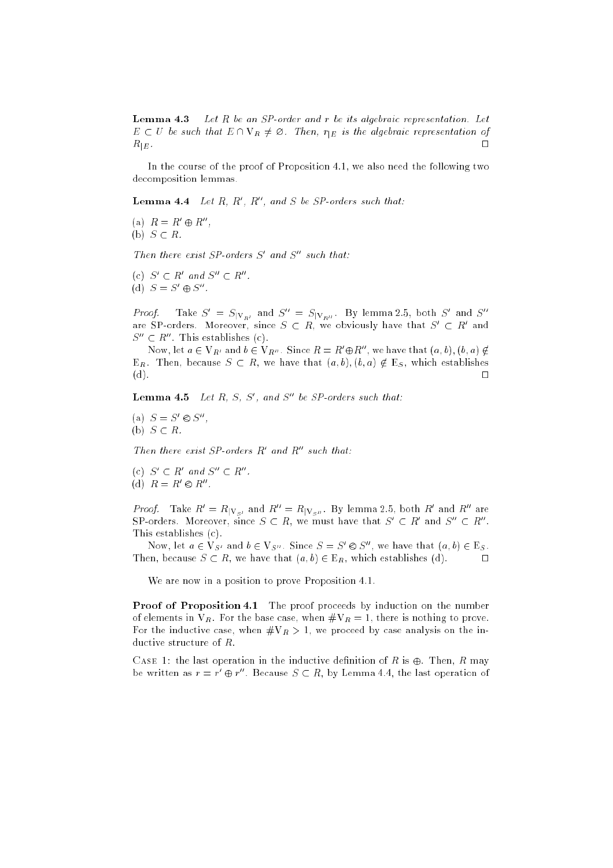**Lemma 4.3** Let R be an SP-order and r be its algebraic representation. Let  $E \subset U$  be such that  $E \cap V_R \neq \emptyset$ . Then,  $r_{|E}$  is the algebraic representation of  $R_{\mid E}$  .  $\hfill \Box$ 

In the course of the proof of Proposition 4.1, we also need the following two decomposition lemmas.

**Lemma 4.4** Let R, R', R'', and S be SP-orders such that:

(a)  $R = R' \oplus R''$ , (b)  $S \subset R$ .

Then there exist SP-orders S' and S'' such that:

(c)  $S' \subset R'$  and  $S'' \subset R''$ . (d)  $S = S' \oplus S''$ .

*Proof.* Take  $S' = S_{|V_{R'}}$  and  $S'' = S_{|V_{R''}}$ . By lemma 2.5, both S' and S'' are SP-orders. Moreover, since  $S \subset R$ , we obviously have that  $S' \subset R'$  and  $S^{\prime\prime}\subset R^{\prime\prime}$ . This establishes (c).

Now, let  $a \in V_{R'}$  and  $b \in V_{R''}$ . Since  $R = R' \oplus R''$ , we have that  $(a, b)$ ,  $(b, a) \notin$  $E_R$ . Then, because  $S \subset R$ , we have that  $(a, b), (b, a) \notin E_S$ , which establishes  $\mathcal{M}$  , we are the contract of the contract of the contract of the contract of the contract of the contract of the contract of the contract of the contract of the contract of the contract of the contract of the contrac

**Lemma 4.5** Let R, S, S', and S'' be SP-orders such that:

(a)  $S = S' \otimes S''$ , (b)  $S \subset R$ .

Then there exist SP-orders  $R'$  and  $R''$  such that:

- (c)  $S' \subset R'$  and  $S'' \subset R''$ .
- (d)  $R = R' \otimes R''$ .

*Proof.* Take  $R' = R_{|\mathbf{V}_{S'}}$  and  $R'' = R_{|\mathbf{V}_{S''}}$ . By lemma 2.5, both  $R'$  and  $R''$  are SP-orders. Moreover, since  $S \subset R$ , we must have that  $S' \subset R'$  and  $S'' \subset R''$ . This establishes (c).

Now, let  $a \in V_{S'}$  and  $b \in V_{S''}$ . Since  $S = S' \otimes S''$ , we have that  $(a, b) \in E_S$ . Then, because  $S \subset R$ , we have that  $(a, b) \in E_R$ , which establishes (d).  $\square$ 

We are now in a position to prove Proposition 4.1.

Proof of Proposition 4.1 The proof proceeds by induction on the number of elements in  $V_R$ . For the base case, when  $\#V_R = 1$ , there is nothing to prove. For the inductive case, when  $\#V_R > 1$ , we proceed by case analysis on the inductive structure of R.

CASE 1: the last operation in the inductive definition of R is  $\oplus$ . Then, R may be written as  $r = r' \oplus r''$ . Because  $S \subset R$ , by Lemma 4.4, the last operation of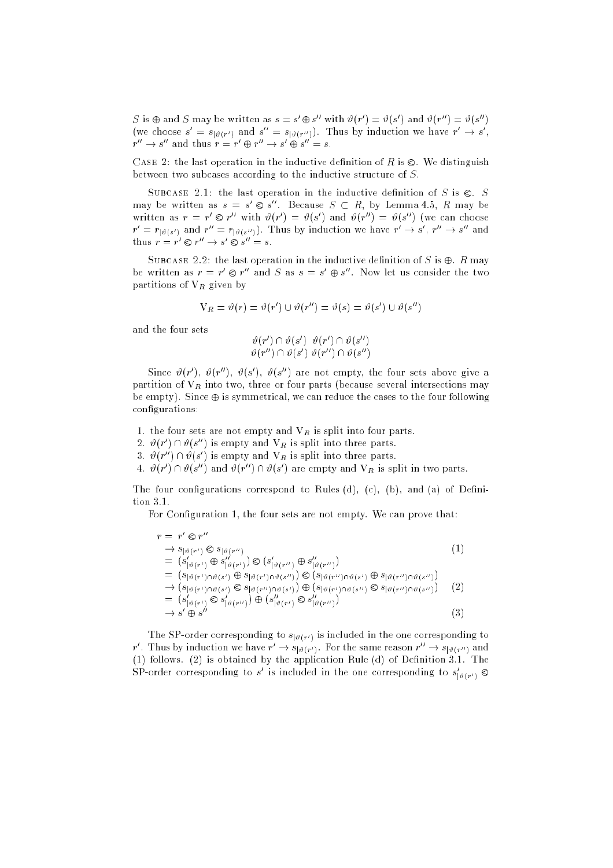S is  $\oplus$  and S may be written as  $s = s' \oplus s''$  with  $\vartheta(r') = \vartheta(s')$  and  $\vartheta(r'') = \vartheta(s'')$ (we choose  $s = s_{\lbrack \vartheta(r')}$  and  $s = s_{\lbrack \vartheta(r'')\rbrack}$ . Thus by induction we have  $r \to s$ ,  $r'' \to s'' \oplus s'' = s$ .

CASE 2: the last operation in the inductive definition of R is  $\otimes$ . We distinguish between two subcases according to the inductive structure of S.

SUBCASE 2.1: the last operation in the inductive definition of S is  $\otimes$ . S may be written as  $s = s' \otimes s''$ . Because  $S \subset R$ , by Lemma 4.5, R may be written as  $r = r' \otimes r''$  with  $\vartheta(r') = \vartheta(s')$  and  $\vartheta(r'') = \vartheta(s'')$  (we can choose  $r' = r_{\lceil \vartheta(s') \rceil}$  and  $r'' = r_{\lceil \vartheta(s'') \rceil}$ . Thus by induction we have  $r' \to s'$ ,  $r'' \to s''$  and thus  $r = r' \otimes r'' \to s' \otimes s'' = s$ .

SUBCASE 2.2: the last operation in the inductive definition of S is  $\oplus$ . R may be written as  $r = r' \otimes r''$  and S as  $s = s' \oplus s''$ . Now let us consider the two partitions of  $V_R$  given by

$$
V_R = \vartheta(r) = \vartheta(r') \cup \vartheta(r'') = \vartheta(s) = \vartheta(s') \cup \vartheta(s'')
$$

and the four sets

$$
\begin{array}{c} \vartheta(r')\cap\vartheta(s')\quad \vartheta(r')\cap\vartheta(s'')\\ \vartheta(r'')\cap\vartheta(s')\ \vartheta(r'')\cap\vartheta(s'')\end{array}
$$

Since  $\vartheta(r')$ ,  $\vartheta(r'')$ ,  $\vartheta(s')$ ,  $\vartheta(s'')$  are not empty, the four sets above give a partition of  $V_R$  into two, three or four parts (because several intersections may be empty). Since  $\oplus$  is symmetrical, we can reduce the cases to the four following configurations:

1. the four sets are not empty and  $V_R$  is split into four parts.

2.  $\vartheta(r') \cap \vartheta(s'')$  is empty and  $V_R$  is split into three parts.

3.  $\vartheta(r'') \cap \vartheta(s')$  is empty and  $V_R$  is split into three parts.

4.  $\vartheta(r') \cap \vartheta(s'')$  and  $\vartheta(r'') \cap \vartheta(s')$  are empty and  $V_R$  is split in two parts.

The four configurations correspond to Rules (d), (c), (b), and (a) of Definition 3.1.

For Configuration 1, the four sets are not empty. We can prove that:

$$
r = r' \otimes r''
$$
  
\n
$$
\rightarrow s_{\lfloor \vartheta(r')} \otimes s_{\lfloor \vartheta(r'') \rfloor}
$$
  
\n
$$
= (s'_{\lfloor \vartheta(r') \rfloor} \oplus s''_{\lfloor \vartheta(r') \rfloor}) \otimes (s'_{\lfloor \vartheta(r'') \rfloor} \oplus s''_{\lfloor \vartheta(r'') \rfloor})
$$
  
\n
$$
= (s_{\lfloor \vartheta(r') \cap \vartheta(s')} \oplus s_{\lfloor \vartheta(r') \cap \vartheta(s'') \rfloor}) \otimes (s_{\lfloor \vartheta(r'') \cap \vartheta(s')} \oplus s_{\lfloor \vartheta(r'') \cap \vartheta(s'') \rfloor})
$$
  
\n
$$
\rightarrow (s_{\lfloor \vartheta(r') \cap \vartheta(s')} \otimes s_{\lfloor \vartheta(r'') \cap \vartheta(s') \rfloor}) \oplus (s_{\lfloor \vartheta(r') \cap \vartheta(s'') \rfloor} \otimes s_{\lfloor \vartheta(r'') \cap \vartheta(s'') \rfloor}
$$
  
\n
$$
= (s'_{\lfloor \vartheta(r') \rfloor} \otimes s'_{\lfloor \vartheta(r'') \rfloor}) \oplus (s''_{\lfloor \vartheta(r') \rfloor} \otimes s''_{\lfloor \vartheta(r'') \rfloor})
$$
  
\n
$$
\rightarrow s' \oplus s''
$$
  
\n(3)

The SP-order corresponding to  $s_{\lbrack \vartheta (r^{\prime })}$  is included in the one corresponding to r'. Thus by induction we have  $r' \rightarrow s_{\vert \theta(r')}$ . For the same reason  $r'' \rightarrow s_{\vert \theta(r'')}$  and (1) follows. (2) is obtained by the application Rule (d) of Definition 3.1. The SP-order corresponding to  $s^{\cdot}$  is included in the one corresponding to  $s_{\lfloor \vartheta(r^{\prime}) \rfloor} \otimes$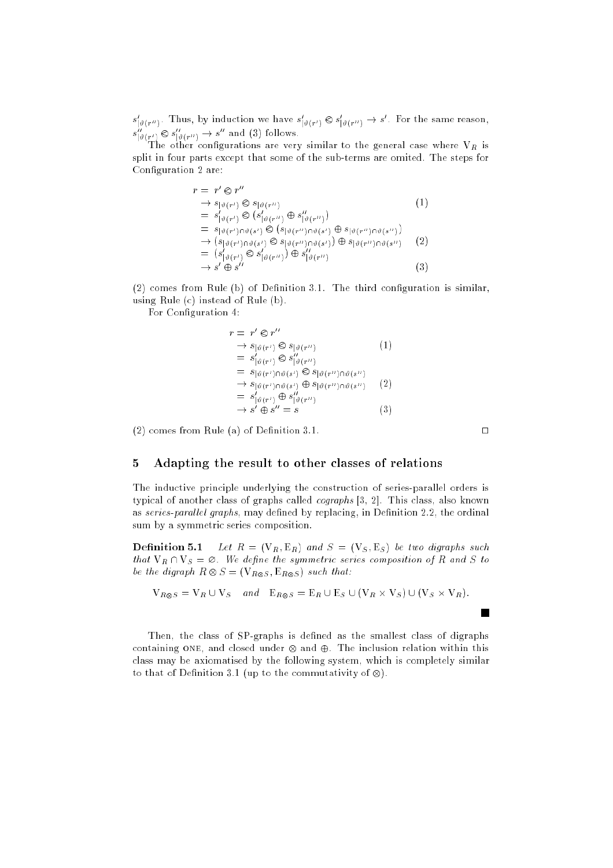$s_{\vert \vartheta(r^{\prime\prime})}$ . Thus, by induction we have  $s_{\vert \vartheta(r^{\prime})} \otimes s_{\vert \vartheta(r^{\prime\prime})} \rightarrow s^{\prime}$ . For the same reason,  $s_{\vert \vartheta(r')} \otimes s_{\vert \vartheta(r'')} \rightarrow s''$  and (3) follows.

The other congurations are very similar to the general case where VR is split in four parts except that some of the sub-terms are omited. The steps for Configuration 2 are:

$$
r = r' \otimes r''
$$
  
\n
$$
\rightarrow s_{\lbrack \vartheta(r')} \otimes s_{\lbrack \vartheta(r'')}
$$
  
\n
$$
= s'_{\lbrack \vartheta(r') \rbrack} \otimes (s'_{\lbrack \vartheta(r'') \rbrack} \oplus s''_{\lbrack \vartheta(r'') \rbrack})
$$
  
\n
$$
= s_{\lbrack \vartheta(r') \rbrack \cap \vartheta(s')} \otimes (s_{\lbrack \vartheta(r'') \rbrack \cap \vartheta(s')} \oplus s_{\lbrack \vartheta(r'') \rbrack \cap \vartheta(s'')})
$$
  
\n
$$
\rightarrow (s_{\lbrack \vartheta(r') \rbrack} \cap \vartheta(s') \otimes s_{\lbrack \vartheta(r'') \rbrack \cap \vartheta(s')}) \oplus s_{\lbrack \vartheta(r'') \rbrack \cap \vartheta(s'')}
$$
  
\n
$$
= (s'_{\lbrack \vartheta(r') \rbrack} \otimes s'_{\lbrack \vartheta(r'') \rbrack} \oplus s''_{\lbrack \vartheta(r'')} )
$$
  
\n(3)

 $(2)$  comes from Rule  $(b)$  of Definition 3.1. The third configuration is similar, using Rule (c) instead of Rule (b).

For Configuration 4:

$$
v = r' \otimes r''
$$
  
\n
$$
\rightarrow s_{\lceil \vartheta(r') \rceil} \otimes s_{\lceil \vartheta(r'') \rceil}
$$
  
\n
$$
= s'_{\lceil \vartheta(r') \rceil} \otimes s''_{\lceil \vartheta(r'') \rceil}
$$
  
\n
$$
= s_{\lceil \vartheta(r') \rceil} \otimes s_{\lceil \vartheta(r'') \rceil} \otimes s_{\lceil \vartheta(r'') \rceil} \otimes s_{\lceil \vartheta(r'') \rceil} \otimes s_{\lceil \vartheta(r'') \rceil} \otimes s_{\lceil \vartheta(r'') \rceil} \otimes s_{\lceil \vartheta(r'') \rceil} \otimes s_{\lceil \vartheta(r'') \rceil} \otimes s_{\lceil \vartheta(r'') \rceil} \otimes s_{\lceil \vartheta(r'') \rceil} \otimes s_{\lceil \vartheta(r'') \rceil} \otimes s_{\lceil \vartheta(r'') \rceil} \otimes s_{\lceil \vartheta(r'') \rceil} \otimes s_{\lceil \vartheta(r'') \rceil} \otimes s_{\lceil \vartheta(r'') \rceil} \otimes s_{\lceil \vartheta(r'') \rceil} \otimes s_{\lceil \vartheta(r'') \rceil} \otimes s_{\lceil \vartheta(r'') \rceil} \otimes s_{\lceil \vartheta(r'') \rceil} \otimes s_{\lceil \vartheta(r'') \rceil} \otimes s_{\lceil \vartheta(r'') \rceil} \otimes s_{\lceil \vartheta(r'') \rceil} \otimes s_{\lceil \vartheta(r'') \rceil} \otimes s_{\lceil \vartheta(r'') \rceil} \otimes s_{\lceil \vartheta(r'') \rceil} \otimes s_{\lceil \vartheta(r'') \rceil} \otimes s_{\lceil \vartheta(r'') \rceil} \otimes s_{\lceil \vartheta(r'') \rceil} \otimes s_{\lceil \vartheta(r'') \rceil} \otimes s_{\lceil \vartheta(r'') \rceil} \otimes s_{\lceil \vartheta(r'') \rceil} \otimes s_{\lceil \vartheta(r'') \rceil} \otimes s_{\lceil \vartheta(r'') \rceil} \otimes s_{\lceil \vartheta(r') \rceil} \otimes s_{\lceil \vartheta(r') \rceil} \otimes s_{\lceil \vartheta(r') \rceil} \otimes s_{\
$$

(2) comes from Rule (a) of Definition 3.1.  $\Box$ 

 $\mathcal{r}$ 

# 5 Adapting the result to other classes of relations

The inductive principle underlying the construction of series-parallel orders is typical of another class of graphs called cographs [3, 2]. This class, also known as series-parallel graphs, may defined by replacing, in Definition 2.2, the ordinal sum by a symmetric series composition.

**Definition 5.1** Let  $R = (V_R, E_R)$  and  $S = (V_S, E_S)$  be two digraphs such that  $V_R \cap V_S = \emptyset$ . We define the symmetric series composition of R and S to be the digraph  $R \otimes S = (\mathbf{V}_{R \otimes S}, \mathbf{E}_{R \otimes S})$  such that:

$$
V_{R\otimes S} = V_R \cup V_S \quad and \quad E_{R\otimes S} = E_R \cup E_S \cup (V_R \times V_S) \cup (V_S \times V_R).
$$

Then, the class of SP-graphs is defined as the smallest class of digraphs containing ONE, and closed under  $\otimes$  and  $\oplus$ . The inclusion relation within this class may be axiomatised by the following system, which is completely similar to that of Definition 3.1 (up to the commutativity of  $\otimes$ ).

 $\blacksquare$ 

(3)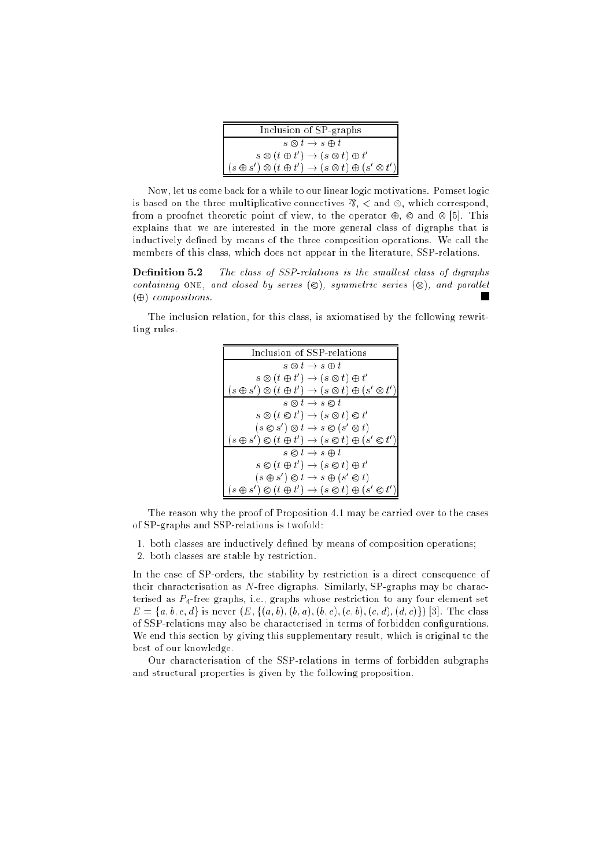| Inclusion of SP-graphs                                                                                                                                  |
|---------------------------------------------------------------------------------------------------------------------------------------------------------|
| $s \otimes t \to s \oplus t$                                                                                                                            |
| $s \otimes (t \oplus t') \rightarrow (s \otimes t) \oplus t'$<br>$(s \oplus s') \otimes (t \oplus t') \rightarrow (s \otimes t) \oplus (s' \otimes t')$ |

Now, let us come back for a while to our linear logic motivations. Pomset logic is based on the three multiplicative connectives  $\mathcal{R}$ ,  $\lt$  and  $\otimes$ , which correspond, from a proofnet theoretic point of view, to the operator  $\oplus$ ,  $\otimes$  and  $\otimes$  [5]. This explains that we are interested in the more general class of digraphs that is inductively defined by means of the three composition operations. We call the members of this class, which does not appear in the literature, SSP-relations.

**Definition 5.2** The class of SSP-relations is the smallest class of digraphs containing ONE, and closed by series  $(\otimes)$ , symmetric series  $(\otimes)$ , and parallel  $(\oplus)$  compositions.

The inclusion relation, for this class, is axiomatised by the following rewritting rules.



The reason why the proof of Proposition 4.1 may be carried over to the cases of SP-graphs and SSP-relations is twofold:

1. both classes are inductively defined by means of composition operations;

2. both classes are stable by restriction.

In the case of SP-orders, the stability by restriction is a direct consequence of their characterisation as N-free digraphs. Similarly, SP-graphs may be characterised as  $P_4$ -free graphs, i.e., graphs whose restriction to any four element set  $E = \{a, b, c, d\}$  is never  $(E, \{(a, b), (b, a), (b, c), (c, b), (c, d), (d, c)\})$  [3]. The class of SSP-relations may also be characterised in terms of forbidden congurations. We end this section by giving this supplementary result, which is original to the best of our knowledge.

Our characterisation of the SSP-relations in terms of forbidden subgraphs and structural properties is given by the following proposition.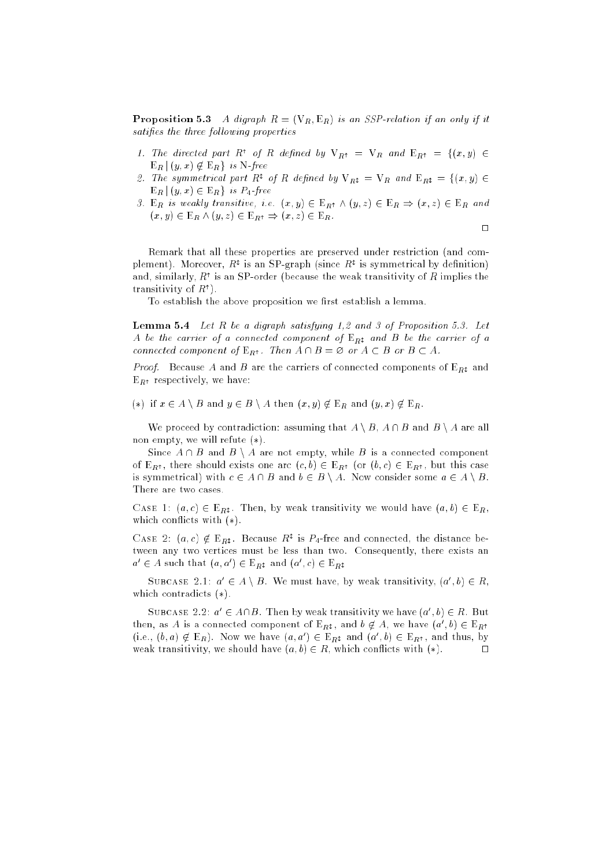**Proposition 5.3** A digraph  $R = (V_R, E_R)$  is an SSP-relation if an only if it satifies the three following properties

- 1. The directed part R<sup>+</sup> of R defined by  $V_{R^+} = V_R$  and  $E_{R^+} = \{(x, y) \in$  $E_R | (y, x) \notin E_R \}$  is N-free
- 2. The symmetrical part R<sup>t</sup> of R defined by  $V_{R} = V_R$  and  $E_{R} = \{(x, y) \in$  $E_R | (y, x) \in E_R$  is  $P_4$ -free
- 3. E<sub>R</sub> is weakly transitive, i.e.  $(x, y) \in E_{R^{\dagger}} \wedge (y, z) \in E_{R} \Rightarrow (x, z) \in E_{R}$  and  $(x, y) \in \mathbb{E}_R \wedge (y, z) \in \mathbb{E}_{R^{\uparrow}} \Rightarrow (x, z) \in \mathbb{E}_R.$

$$
\qquad \qquad \Box
$$

Remark that all these properties are preserved under restriction (and complement). Moreover,  $R^2$  is an SP-graph (since  $R^2$  is symmetrical by definition) and, similarly,  $R^{\dagger}$  is an SP-order (because the weak transitivity of R implies the transitivity of  $R^{\dagger}$ ).

To establish the above proposition we first establish a lemma.

**Lemma 5.4** Let  $R$  be a digraph satisfying 1,2 and 3 of Proposition 5.3. Let A be the carrier of a connected component of  $E_{B}$  and B be the carrier of a connected component of  $E_{R^{\dagger}}$ . Then  $A \cap B = \emptyset$  or  $A \subset B$  or  $B \subset A$ .

*Proof.* Because A and B are the carriers of connected components of  $E_{Rt}$  and  $E_{R<sup>†</sup>}$  respectively, we have:

(\*) if  $x \in A \setminus B$  and  $y \in B \setminus A$  then  $(x, y) \notin E_R$  and  $(y, x) \notin E_R$ .

We proceed by contradiction: assuming that  $A \setminus B$ ,  $A \cap B$  and  $B \setminus A$  are all non empty, we will refute  $(*)$ .

Since  $A \cap B$  and  $B \setminus A$  are not empty, while B is a connected component of  $E_{R<sup>†</sup>}$ , there should exists one arc  $(c, b) \in E_{R<sup>†</sup>}$  (or  $(b, c) \in E_{R<sup>†</sup>}$ , but this case is symmetrical) with  $c \in A \cap B$  and  $b \in B \setminus A$ . Now consider some  $a \in A \setminus B$ . There are two cases.

CASE 1:  $(a, c) \in E_{R}$ . Then, by weak transitivity we would have  $(a, b) \in E_R$ , which conflicts with  $(*)$ .

CASE 2:  $(a, c) \notin E_{R^{\updownarrow}}$ . Because  $R^{\uparrow}$  is  $P_4$ -free and connected, the distance between any two vertices must be less than two. Consequently, there exists an  $a' \in A$  such that  $(a, a') \in E_{R^{\updownarrow}}$  and  $(a', c) \in E_{R^{\updownarrow}}$ 

SUBCASE 2.1:  $a' \in A \setminus B$ . We must have, by weak transitivity,  $(a', b) \in R$ , which contradicts  $(*)$ .

SUBCASE 2.2:  $a' \in A \cap B$ . Then by weak transitivity we have  $(a', b) \in R$ . But then, as A is a connected component of  $E_{R^{\ddagger}}$ , and  $b \notin A$ , we have  $(a',b) \in E_{R^{\ddagger}}$ (i.e.,  $(b, a) \notin E_R$ ). Now we have  $(a, a') \in E_{R^{\uparrow}}$  and  $(a', b) \in E_{R^{\uparrow}}$ , and thus, by weak transitivity, we should have  $(a, b) \in R$ , which conflicts with  $(*)$ .